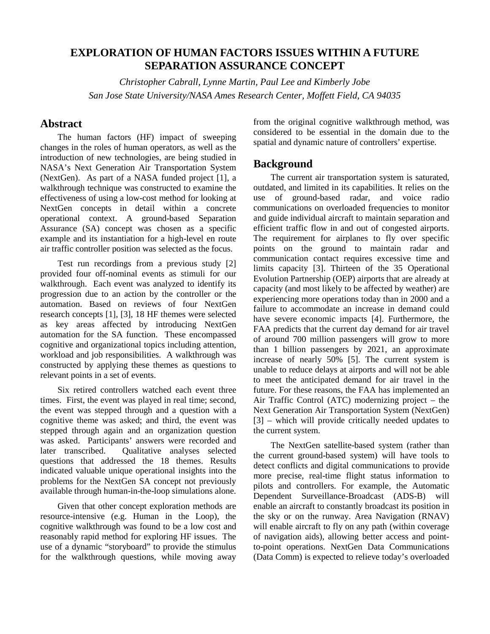# **EXPLORATION OF HUMAN FACTORS ISSUES WITHIN A FUTURE SEPARATION ASSURANCE CONCEPT**

*Christopher Cabrall, Lynne Martin, Paul Lee and Kimberly Jobe San Jose State University/NASA Ames Research Center, Moffett Field, CA 94035*

## **Abstract**

The human factors (HF) impact of sweeping changes in the roles of human operators, as well as the introduction of new technologies, are being studied in NASA's Next Generation Air Transportation System (NextGen). As part of a NASA funded project [1], a walkthrough technique was constructed to examine the effectiveness of using a low-cost method for looking at NextGen concepts in detail within a concrete operational context. A ground-based Separation Assurance (SA) concept was chosen as a specific example and its instantiation for a high-level en route air traffic controller position was selected as the focus.

Test run recordings from a previous study [2] provided four off-nominal events as stimuli for our walkthrough. Each event was analyzed to identify its progression due to an action by the controller or the automation. Based on reviews of four NextGen research concepts [1], [3], 18 HF themes were selected as key areas affected by introducing NextGen automation for the SA function. These encompassed cognitive and organizational topics including attention, workload and job responsibilities. A walkthrough was constructed by applying these themes as questions to relevant points in a set of events.

Six retired controllers watched each event three times. First, the event was played in real time; second, the event was stepped through and a question with a cognitive theme was asked; and third, the event was stepped through again and an organization question was asked. Participants' answers were recorded and later transcribed. Qualitative analyses selected questions that addressed the 18 themes. Results indicated valuable unique operational insights into the problems for the NextGen SA concept not previously available through human-in-the-loop simulations alone.

Given that other concept exploration methods are resource-intensive (e.g. Human in the Loop), the cognitive walkthrough was found to be a low cost and reasonably rapid method for exploring HF issues. The use of a dynamic "storyboard" to provide the stimulus for the walkthrough questions, while moving away

from the original cognitive walkthrough method, was considered to be essential in the domain due to the spatial and dynamic nature of controllers' expertise.

## **Background**

The current air transportation system is saturated, outdated, and limited in its capabilities. It relies on the use of ground-based radar, and voice radio communications on overloaded frequencies to monitor and guide individual aircraft to maintain separation and efficient traffic flow in and out of congested airports. The requirement for airplanes to fly over specific points on the ground to maintain radar and communication contact requires excessive time and limits capacity [3]. Thirteen of the 35 Operational Evolution Partnership (OEP) airports that are already at capacity (and most likely to be affected by weather) are experiencing more operations today than in 2000 and a failure to accommodate an increase in demand could have severe economic impacts [4]. Furthermore, the FAA predicts that the current day demand for air travel of around 700 million passengers will grow to more than 1 billion passengers by 2021, an approximate increase of nearly 50% [5]. The current system is unable to reduce delays at airports and will not be able to meet the anticipated demand for air travel in the future. For these reasons, the FAA has implemented an Air Traffic Control (ATC) modernizing project – the Next Generation Air Transportation System (NextGen) [3] – which will provide critically needed updates to the current system.

The NextGen satellite-based system (rather than the current ground-based system) will have tools to detect conflicts and digital communications to provide more precise, real-time flight status information to pilots and controllers. For example, the Automatic Dependent Surveillance-Broadcast (ADS-B) will enable an aircraft to constantly broadcast its position in the sky or on the runway. Area Navigation (RNAV) will enable aircraft to fly on any path (within coverage of navigation aids), allowing better access and pointto-point operations. NextGen Data Communications (Data Comm) is expected to relieve today's overloaded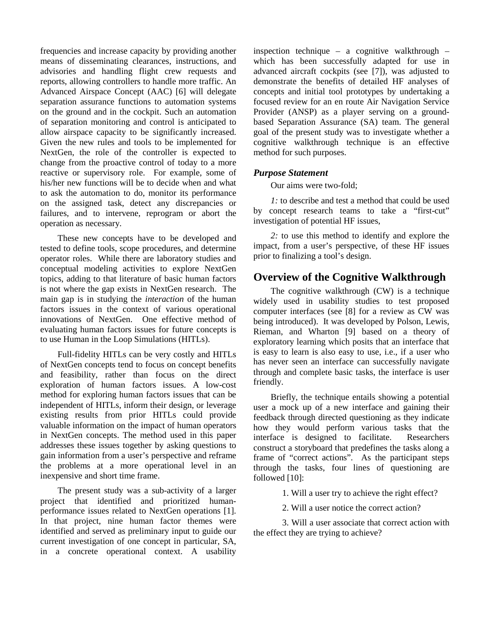frequencies and increase capacity by providing another means of disseminating clearances, instructions, and advisories and handling flight crew requests and reports, allowing controllers to handle more traffic. An Advanced Airspace Concept (AAC) [6] will delegate separation assurance functions to automation systems on the ground and in the cockpit. Such an automation of separation monitoring and control is anticipated to allow airspace capacity to be significantly increased. Given the new rules and tools to be implemented for NextGen, the role of the controller is expected to change from the proactive control of today to a more reactive or supervisory role. For example, some of his/her new functions will be to decide when and what to ask the automation to do, monitor its performance on the assigned task, detect any discrepancies or failures, and to intervene, reprogram or abort the operation as necessary.

These new concepts have to be developed and tested to define tools, scope procedures, and determine operator roles. While there are laboratory studies and conceptual modeling activities to explore NextGen topics, adding to that literature of basic human factors is not where the gap exists in NextGen research. The main gap is in studying the *interaction* of the human factors issues in the context of various operational innovations of NextGen. One effective method of evaluating human factors issues for future concepts is to use Human in the Loop Simulations (HITLs).

Full-fidelity HITLs can be very costly and HITLs of NextGen concepts tend to focus on concept benefits and feasibility, rather than focus on the direct exploration of human factors issues. A low-cost method for exploring human factors issues that can be independent of HITLs, inform their design, or leverage existing results from prior HITLs could provide valuable information on the impact of human operators in NextGen concepts. The method used in this paper addresses these issues together by asking questions to gain information from a user's perspective and reframe the problems at a more operational level in an inexpensive and short time frame.

The present study was a sub-activity of a larger project that identified and prioritized humanperformance issues related to NextGen operations [1]. In that project, nine human factor themes were identified and served as preliminary input to guide our current investigation of one concept in particular, SA, in a concrete operational context. A usability inspection technique – a cognitive walkthrough – which has been successfully adapted for use in advanced aircraft cockpits (see [7]), was adjusted to demonstrate the benefits of detailed HF analyses of concepts and initial tool prototypes by undertaking a focused review for an en route Air Navigation Service Provider (ANSP) as a player serving on a groundbased Separation Assurance (SA) team. The general goal of the present study was to investigate whether a cognitive walkthrough technique is an effective method for such purposes.

### *Purpose Statement*

Our aims were two-fold;

*1:* to describe and test a method that could be used by concept research teams to take a "first-cut" investigation of potential HF issues,

*2:* to use this method to identify and explore the impact, from a user's perspective, of these HF issues prior to finalizing a tool's design.

## **Overview of the Cognitive Walkthrough**

The cognitive walkthrough (CW) is a technique widely used in usability studies to test proposed computer interfaces (see [8] for a review as CW was being introduced). It was developed by Polson, Lewis, Rieman, and Wharton [9] based on a theory of exploratory learning which posits that an interface that is easy to learn is also easy to use, i.e., if a user who has never seen an interface can successfully navigate through and complete basic tasks, the interface is user friendly.

Briefly, the technique entails showing a potential user a mock up of a new interface and gaining their feedback through directed questioning as they indicate how they would perform various tasks that the interface is designed to facilitate. Researchers construct a storyboard that predefines the tasks along a frame of "correct actions". As the participant steps through the tasks, four lines of questioning are followed [10]:

1. Will a user try to achieve the right effect?

2. Will a user notice the correct action?

3. Will a user associate that correct action with the effect they are trying to achieve?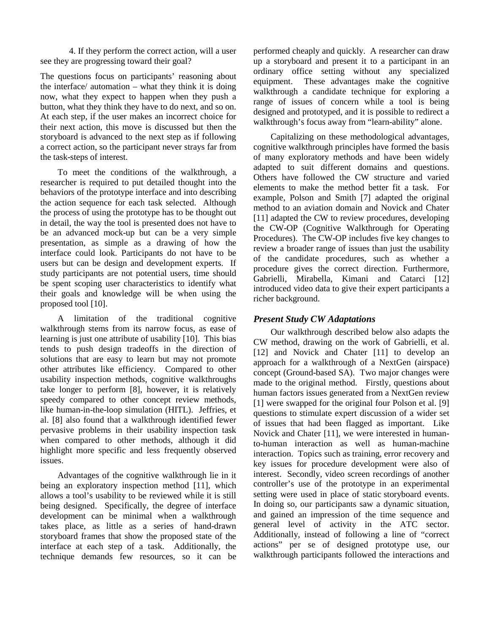4. If they perform the correct action, will a user see they are progressing toward their goal?

The questions focus on participants' reasoning about the interface/ automation – what they think it is doing now, what they expect to happen when they push a button, what they think they have to do next, and so on. At each step, if the user makes an incorrect choice for their next action, this move is discussed but then the storyboard is advanced to the next step as if following a correct action, so the participant never strays far from the task-steps of interest.

To meet the conditions of the walkthrough, a researcher is required to put detailed thought into the behaviors of the prototype interface and into describing the action sequence for each task selected. Although the process of using the prototype has to be thought out in detail, the way the tool is presented does not have to be an advanced mock-up but can be a very simple presentation, as simple as a drawing of how the interface could look. Participants do not have to be users but can be design and development experts. If study participants are not potential users, time should be spent scoping user characteristics to identify what their goals and knowledge will be when using the proposed tool [10].

A limitation of the traditional cognitive walkthrough stems from its narrow focus, as ease of learning is just one attribute of usability [10]. This bias tends to push design tradeoffs in the direction of solutions that are easy to learn but may not promote other attributes like efficiency. Compared to other usability inspection methods, cognitive walkthroughs take longer to perform [8], however, it is relatively speedy compared to other concept review methods, like human-in-the-loop simulation (HITL). Jeffries, et al. [8] also found that a walkthrough identified fewer pervasive problems in their usability inspection task when compared to other methods, although it did highlight more specific and less frequently observed issues.

Advantages of the cognitive walkthrough lie in it being an exploratory inspection method [11], which allows a tool's usability to be reviewed while it is still being designed. Specifically, the degree of interface development can be minimal when a walkthrough takes place, as little as a series of hand-drawn storyboard frames that show the proposed state of the interface at each step of a task. Additionally, the technique demands few resources, so it can be performed cheaply and quickly. A researcher can draw up a storyboard and present it to a participant in an ordinary office setting without any specialized equipment. These advantages make the cognitive walkthrough a candidate technique for exploring a range of issues of concern while a tool is being designed and prototyped, and it is possible to redirect a walkthrough's focus away from "learn-ability" alone.

Capitalizing on these methodological advantages, cognitive walkthrough principles have formed the basis of many exploratory methods and have been widely adapted to suit different domains and questions. Others have followed the CW structure and varied elements to make the method better fit a task. For example, Polson and Smith [7] adapted the original method to an aviation domain and Novick and Chater [11] adapted the CW to review procedures, developing the CW-OP (Cognitive Walkthrough for Operating Procedures). The CW-OP includes five key changes to review a broader range of issues than just the usability of the candidate procedures, such as whether a procedure gives the correct direction. Furthermore, Gabrielli, Mirabella, Kimani and Catarci [12] introduced video data to give their expert participants a richer background.

### *Present Study CW Adaptations*

Our walkthrough described below also adapts the CW method, drawing on the work of Gabrielli, et al. [12] and Novick and Chater [11] to develop an approach for a walkthrough of a NextGen (airspace) concept (Ground-based SA). Two major changes were made to the original method. Firstly, questions about human factors issues generated from a NextGen review [1] were swapped for the original four Polson et al. [9] questions to stimulate expert discussion of a wider set of issues that had been flagged as important. Like Novick and Chater [11], we were interested in humanto-human interaction as well as human-machine interaction. Topics such as training, error recovery and key issues for procedure development were also of interest. Secondly, video screen recordings of another controller's use of the prototype in an experimental setting were used in place of static storyboard events. In doing so, our participants saw a dynamic situation, and gained an impression of the time sequence and general level of activity in the ATC sector. Additionally, instead of following a line of "correct actions" per se of designed prototype use, our walkthrough participants followed the interactions and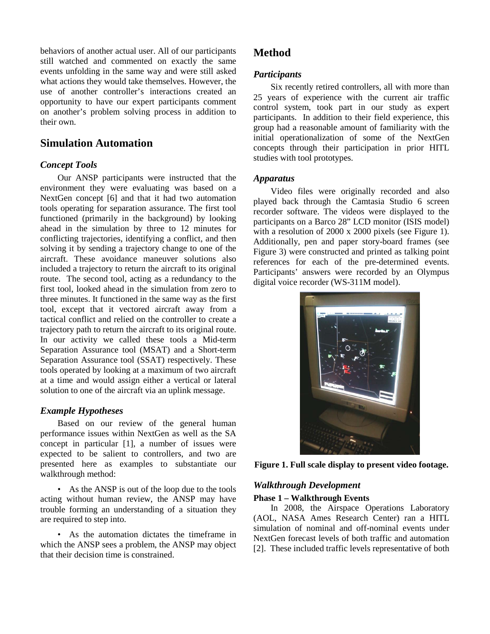behaviors of another actual user. All of our participants still watched and commented on exactly the same events unfolding in the same way and were still asked what actions they would take themselves. However, the use of another controller's interactions created an opportunity to have our expert participants comment on another's problem solving process in addition to their own.

## **Simulation Automation**

### *Concept Tools*

Our ANSP participants were instructed that the environment they were evaluating was based on a NextGen concept [6] and that it had two automation tools operating for separation assurance. The first tool functioned (primarily in the background) by looking ahead in the simulation by three to 12 minutes for conflicting trajectories, identifying a conflict, and then solving it by sending a trajectory change to one of the aircraft. These avoidance maneuver solutions also included a trajectory to return the aircraft to its original route. The second tool, acting as a redundancy to the first tool, looked ahead in the simulation from zero to three minutes. It functioned in the same way as the first tool, except that it vectored aircraft away from a tactical conflict and relied on the controller to create a trajectory path to return the aircraft to its original route. In our activity we called these tools a Mid-term Separation Assurance tool (MSAT) and a Short-term Separation Assurance tool (SSAT) respectively. These tools operated by looking at a maximum of two aircraft at a time and would assign either a vertical or lateral solution to one of the aircraft via an uplink message.

### *Example Hypotheses*

Based on our review of the general human performance issues within NextGen as well as the SA concept in particular [1], a number of issues were expected to be salient to controllers, and two are presented here as examples to substantiate our walkthrough method:

• As the ANSP is out of the loop due to the tools acting without human review, the ANSP may have trouble forming an understanding of a situation they are required to step into.

• As the automation dictates the timeframe in which the ANSP sees a problem, the ANSP may object that their decision time is constrained.

## **Method**

### *Participants*

Six recently retired controllers, all with more than 25 years of experience with the current air traffic control system, took part in our study as expert participants. In addition to their field experience, this group had a reasonable amount of familiarity with the initial operationalization of some of the NextGen concepts through their participation in prior HITL studies with tool prototypes.

### *Apparatus*

Video files were originally recorded and also played back through the Camtasia Studio 6 screen recorder software. The videos were displayed to the participants on a Barco 28" LCD monitor (ISIS model) with a resolution of 2000 x 2000 pixels (see Figure 1). Additionally, pen and paper story-board frames (see Figure 3) were constructed and printed as talking point references for each of the pre-determined events. Participants' answers were recorded by an Olympus digital voice recorder (WS-311M model).



**Figure 1. Full scale display to present video footage.**

#### *Walkthrough Development*

#### **Phase 1 – Walkthrough Events**

In 2008, the Airspace Operations Laboratory (AOL, NASA Ames Research Center) ran a HITL simulation of nominal and off-nominal events under NextGen forecast levels of both traffic and automation [2]. These included traffic levels representative of both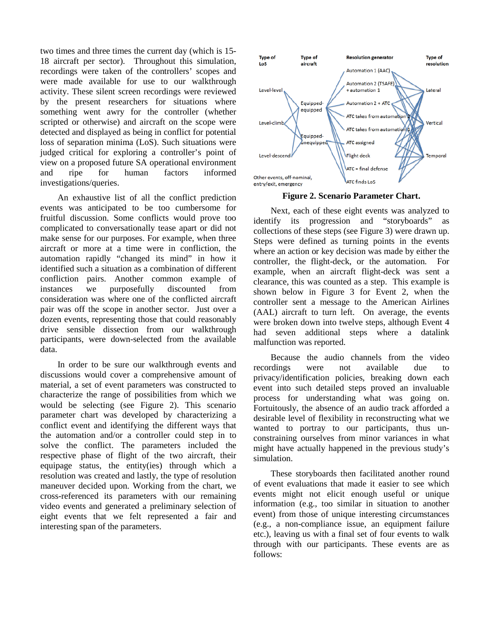two times and three times the current day (which is 15- 18 aircraft per sector). Throughout this simulation, recordings were taken of the controllers' scopes and were made available for use to our walkthrough activity. These silent screen recordings were reviewed by the present researchers for situations where something went awry for the controller (whether scripted or otherwise) and aircraft on the scope were detected and displayed as being in conflict for potential loss of separation minima (LoS). Such situations were judged critical for exploring a controller's point of view on a proposed future SA operational environment and ripe for human factors informed investigations/queries.

An exhaustive list of all the conflict prediction events was anticipated to be too cumbersome for fruitful discussion. Some conflicts would prove too complicated to conversationally tease apart or did not make sense for our purposes. For example, when three aircraft or more at a time were in confliction, the automation rapidly "changed its mind" in how it identified such a situation as a combination of different confliction pairs. Another common example of instances we purposefully discounted from consideration was where one of the conflicted aircraft pair was off the scope in another sector. Just over a dozen events, representing those that could reasonably drive sensible dissection from our walkthrough participants, were down-selected from the available data.

In order to be sure our walkthrough events and discussions would cover a comprehensive amount of material, a set of event parameters was constructed to characterize the range of possibilities from which we would be selecting (see Figure 2). This scenario parameter chart was developed by characterizing a conflict event and identifying the different ways that the automation and/or a controller could step in to solve the conflict. The parameters included the respective phase of flight of the two aircraft, their equipage status, the entity(ies) through which a resolution was created and lastly, the type of resolution maneuver decided upon. Working from the chart, we cross-referenced its parameters with our remaining video events and generated a preliminary selection of eight events that we felt represented a fair and interesting span of the parameters.



**Figure 2. Scenario Parameter Chart.**

Next, each of these eight events was analyzed to identify its progression and "storyboards" as collections of these steps (see Figure 3) were drawn up. Steps were defined as turning points in the events where an action or key decision was made by either the controller, the flight-deck, or the automation. For example, when an aircraft flight-deck was sent a clearance, this was counted as a step. This example is shown below in Figure 3 for Event 2, when the controller sent a message to the American Airlines (AAL) aircraft to turn left. On average, the events were broken down into twelve steps, although Event 4 had seven additional steps where a datalink malfunction was reported.

Because the audio channels from the video recordings were not available due to privacy/identification policies, breaking down each event into such detailed steps proved an invaluable process for understanding what was going on. Fortuitously, the absence of an audio track afforded a desirable level of flexibility in reconstructing what we wanted to portray to our participants, thus unconstraining ourselves from minor variances in what might have actually happened in the previous study's simulation.

These storyboards then facilitated another round of event evaluations that made it easier to see which events might not elicit enough useful or unique information (e.g., too similar in situation to another event) from those of unique interesting circumstances (e.g., a non-compliance issue, an equipment failure etc.), leaving us with a final set of four events to walk through with our participants. These events are as follows: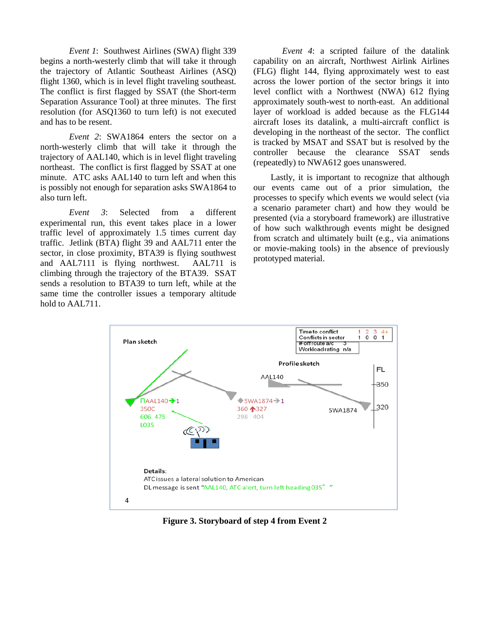*Event 1*: Southwest Airlines (SWA) flight 339 begins a north-westerly climb that will take it through the trajectory of Atlantic Southeast Airlines (ASQ) flight 1360, which is in level flight traveling southeast. The conflict is first flagged by SSAT (the Short-term Separation Assurance Tool) at three minutes. The first resolution (for ASQ1360 to turn left) is not executed and has to be resent.

*Event 2*: SWA1864 enters the sector on a north-westerly climb that will take it through the trajectory of AAL140, which is in level flight traveling northeast. The conflict is first flagged by SSAT at one minute. ATC asks AAL140 to turn left and when this is possibly not enough for separation asks SWA1864 to also turn left.

*Event 3*: Selected from a different experimental run, this event takes place in a lower traffic level of approximately 1.5 times current day traffic. Jetlink (BTA) flight 39 and AAL711 enter the sector, in close proximity, BTA39 is flying southwest and AAL7111 is flying northwest. AAL711 is climbing through the trajectory of the BTA39. SSAT sends a resolution to BTA39 to turn left, while at the same time the controller issues a temporary altitude hold to AAL711.

*Event 4*: a scripted failure of the datalink capability on an aircraft, Northwest Airlink Airlines (FLG) flight 144, flying approximately west to east across the lower portion of the sector brings it into level conflict with a Northwest (NWA) 612 flying approximately south-west to north-east. An additional layer of workload is added because as the FLG144 aircraft loses its datalink, a multi-aircraft conflict is developing in the northeast of the sector. The conflict is tracked by MSAT and SSAT but is resolved by the controller because the clearance SSAT sends (repeatedly) to NWA612 goes unanswered.

Lastly, it is important to recognize that although our events came out of a prior simulation, the processes to specify which events we would select (via a scenario parameter chart) and how they would be presented (via a storyboard framework) are illustrative of how such walkthrough events might be designed from scratch and ultimately built (e.g., via animations or movie-making tools) in the absence of previously prototyped material.



**Figure 3. Storyboard of step 4 from Event 2**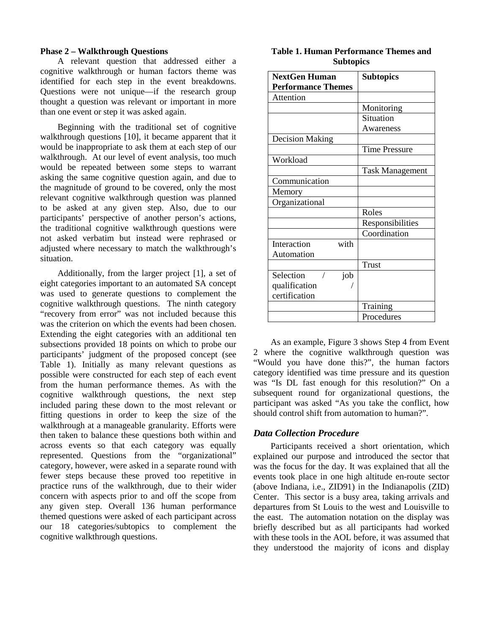#### **Phase 2 – Walkthrough Questions**

A relevant question that addressed either a cognitive walkthrough or human factors theme was identified for each step in the event breakdowns. Questions were not unique—if the research group thought a question was relevant or important in more than one event or step it was asked again.

Beginning with the traditional set of cognitive walkthrough questions [10], it became apparent that it would be inappropriate to ask them at each step of our walkthrough. At our level of event analysis, too much would be repeated between some steps to warrant asking the same cognitive question again, and due to the magnitude of ground to be covered, only the most relevant cognitive walkthrough question was planned to be asked at any given step. Also, due to our participants' perspective of another person's actions, the traditional cognitive walkthrough questions were not asked verbatim but instead were rephrased or adjusted where necessary to match the walkthrough's situation.

Additionally, from the larger project [1], a set of eight categories important to an automated SA concept was used to generate questions to complement the cognitive walkthrough questions. The ninth category "recovery from error" was not included because this was the criterion on which the events had been chosen. Extending the eight categories with an additional ten subsections provided 18 points on which to probe our participants' judgment of the proposed concept (see Table 1). Initially as many relevant questions as possible were constructed for each step of each event from the human performance themes. As with the cognitive walkthrough questions, the next step included paring these down to the most relevant or fitting questions in order to keep the size of the walkthrough at a manageable granularity. Efforts were then taken to balance these questions both within and across events so that each category was equally represented. Questions from the "organizational" category, however, were asked in a separate round with fewer steps because these proved too repetitive in practice runs of the walkthrough, due to their wider concern with aspects prior to and off the scope from any given step. Overall 136 human performance themed questions were asked of each participant across our 18 categories/subtopics to complement the cognitive walkthrough questions.

| <b>NextGen Human</b>      | <b>Subtopics</b>       |
|---------------------------|------------------------|
| <b>Performance Themes</b> |                        |
| Attention                 |                        |
|                           | Monitoring             |
|                           | Situation              |
|                           | Awareness              |
| <b>Decision Making</b>    |                        |
|                           | <b>Time Pressure</b>   |
| Workload                  |                        |
|                           | <b>Task Management</b> |
| Communication             |                        |
| Memory                    |                        |
| Organizational            |                        |
|                           | Roles                  |
|                           | Responsibilities       |
|                           | Coordination           |
| Interaction<br>with       |                        |
| Automation                |                        |
|                           | Trust                  |
| Selection<br>job          |                        |
| qualification             |                        |
| certification             |                        |
|                           | Training               |
|                           | Procedures             |

**Table 1. Human Performance Themes and Subtopics**

As an example, Figure 3 shows Step 4 from Event 2 where the cognitive walkthrough question was "Would you have done this?", the human factors category identified was time pressure and its question was "Is DL fast enough for this resolution?" On a subsequent round for organizational questions, the participant was asked "As you take the conflict, how should control shift from automation to human?".

#### *Data Collection Procedure*

Participants received a short orientation, which explained our purpose and introduced the sector that was the focus for the day. It was explained that all the events took place in one high altitude en-route sector (above Indiana, i.e., ZID91) in the Indianapolis (ZID) Center. This sector is a busy area, taking arrivals and departures from St Louis to the west and Louisville to the east. The automation notation on the display was briefly described but as all participants had worked with these tools in the AOL before, it was assumed that they understood the majority of icons and display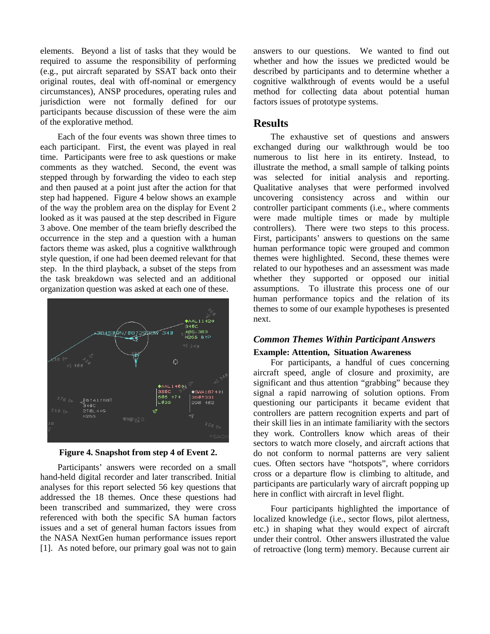elements. Beyond a list of tasks that they would be required to assume the responsibility of performing (e.g., put aircraft separated by SSAT back onto their original routes, deal with off-nominal or emergency circumstances), ANSP procedures, operating rules and jurisdiction were not formally defined for our participants because discussion of these were the aim of the explorative method.

Each of the four events was shown three times to each participant. First, the event was played in real time. Participants were free to ask questions or make comments as they watched. Second, the event was stepped through by forwarding the video to each step and then paused at a point just after the action for that step had happened. Figure 4 below shows an example of the way the problem area on the display for Event 2 looked as it was paused at the step described in Figure 3 above. One member of the team briefly described the occurrence in the step and a question with a human factors theme was asked, plus a cognitive walkthrough style question, if one had been deemed relevant for that step. In the third playback, a subset of the steps from the task breakdown was selected and an additional organization question was asked at each one of these.



**Figure 4. Snapshot from step 4 of Event 2.**

Participants' answers were recorded on a small hand-held digital recorder and later transcribed. Initial analyses for this report selected 56 key questions that addressed the 18 themes. Once these questions had been transcribed and summarized, they were cross referenced with both the specific SA human factors issues and a set of general human factors issues from the NASA NextGen human performance issues report [1]. As noted before, our primary goal was not to gain answers to our questions. We wanted to find out whether and how the issues we predicted would be described by participants and to determine whether a cognitive walkthrough of events would be a useful method for collecting data about potential human factors issues of prototype systems.

## **Results**

The exhaustive set of questions and answers exchanged during our walkthrough would be too numerous to list here in its entirety. Instead, to illustrate the method, a small sample of talking points was selected for initial analysis and reporting. Qualitative analyses that were performed involved uncovering consistency across and within our controller participant comments (i.e., where comments were made multiple times or made by multiple controllers). There were two steps to this process. First, participants' answers to questions on the same human performance topic were grouped and common themes were highlighted. Second, these themes were related to our hypotheses and an assessment was made whether they supported or opposed our initial assumptions. To illustrate this process one of our human performance topics and the relation of its themes to some of our example hypotheses is presented next.

## *Common Themes Within Participant Answers*

### **Example: Attention, Situation Awareness**

For participants, a handful of cues concerning aircraft speed, angle of closure and proximity, are significant and thus attention "grabbing" because they signal a rapid narrowing of solution options. From questioning our participants it became evident that controllers are pattern recognition experts and part of their skill lies in an intimate familiarity with the sectors they work. Controllers know which areas of their sectors to watch more closely, and aircraft actions that do not conform to normal patterns are very salient cues. Often sectors have "hotspots", where corridors cross or a departure flow is climbing to altitude, and participants are particularly wary of aircraft popping up here in conflict with aircraft in level flight.

Four participants highlighted the importance of localized knowledge (i.e., sector flows, pilot alertness, etc.) in shaping what they would expect of aircraft under their control. Other answers illustrated the value of retroactive (long term) memory. Because current air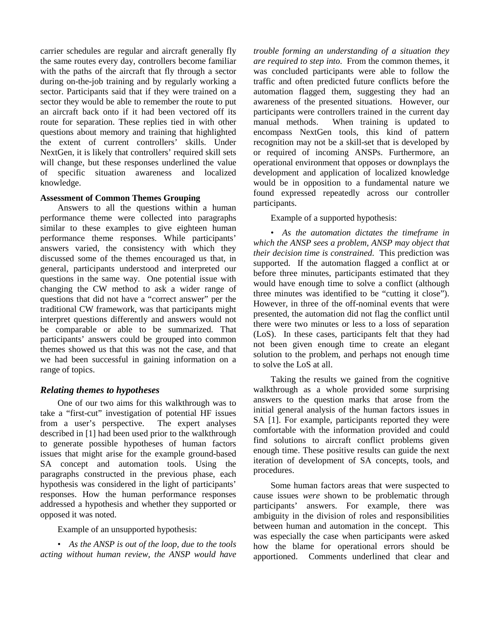carrier schedules are regular and aircraft generally fly the same routes every day, controllers become familiar with the paths of the aircraft that fly through a sector during on-the-job training and by regularly working a sector. Participants said that if they were trained on a sector they would be able to remember the route to put an aircraft back onto if it had been vectored off its route for separation. These replies tied in with other questions about memory and training that highlighted the extent of current controllers' skills. Under NextGen, it is likely that controllers' required skill sets will change, but these responses underlined the value of specific situation awareness and localized knowledge.

### **Assessment of Common Themes Grouping**

Answers to all the questions within a human performance theme were collected into paragraphs similar to these examples to give eighteen human performance theme responses. While participants' answers varied, the consistency with which they discussed some of the themes encouraged us that, in general, participants understood and interpreted our questions in the same way. One potential issue with changing the CW method to ask a wider range of questions that did not have a "correct answer" per the traditional CW framework, was that participants might interpret questions differently and answers would not be comparable or able to be summarized. That participants' answers could be grouped into common themes showed us that this was not the case, and that we had been successful in gaining information on a range of topics.

### *Relating themes to hypotheses*

One of our two aims for this walkthrough was to take a "first-cut" investigation of potential HF issues from a user's perspective. The expert analyses described in [1] had been used prior to the walkthrough to generate possible hypotheses of human factors issues that might arise for the example ground-based SA concept and automation tools. Using the paragraphs constructed in the previous phase, each hypothesis was considered in the light of participants' responses. How the human performance responses addressed a hypothesis and whether they supported or opposed it was noted.

Example of an unsupported hypothesis:

• *As the ANSP is out of the loop, due to the tools acting without human review, the ANSP would have* 

*trouble forming an understanding of a situation they are required to step into*. From the common themes, it was concluded participants were able to follow the traffic and often predicted future conflicts before the automation flagged them, suggesting they had an awareness of the presented situations. However, our participants were controllers trained in the current day manual methods. When training is updated to encompass NextGen tools, this kind of pattern recognition may not be a skill-set that is developed by or required of incoming ANSPs. Furthermore, an operational environment that opposes or downplays the development and application of localized knowledge would be in opposition to a fundamental nature we found expressed repeatedly across our controller participants.

Example of a supported hypothesis:

• *As the automation dictates the timeframe in which the ANSP sees a problem, ANSP may object that their decision time is constrained*. This prediction was supported. If the automation flagged a conflict at or before three minutes, participants estimated that they would have enough time to solve a conflict (although three minutes was identified to be "cutting it close"). However, in three of the off-nominal events that were presented, the automation did not flag the conflict until there were two minutes or less to a loss of separation (LoS). In these cases, participants felt that they had not been given enough time to create an elegant solution to the problem, and perhaps not enough time to solve the LoS at all.

Taking the results we gained from the cognitive walkthrough as a whole provided some surprising answers to the question marks that arose from the initial general analysis of the human factors issues in SA [1]. For example, participants reported they were comfortable with the information provided and could find solutions to aircraft conflict problems given enough time. These positive results can guide the next iteration of development of SA concepts, tools, and procedures.

Some human factors areas that were suspected to cause issues *were* shown to be problematic through participants' answers. For example, there was ambiguity in the division of roles and responsibilities between human and automation in the concept. This was especially the case when participants were asked how the blame for operational errors should be apportioned. Comments underlined that clear and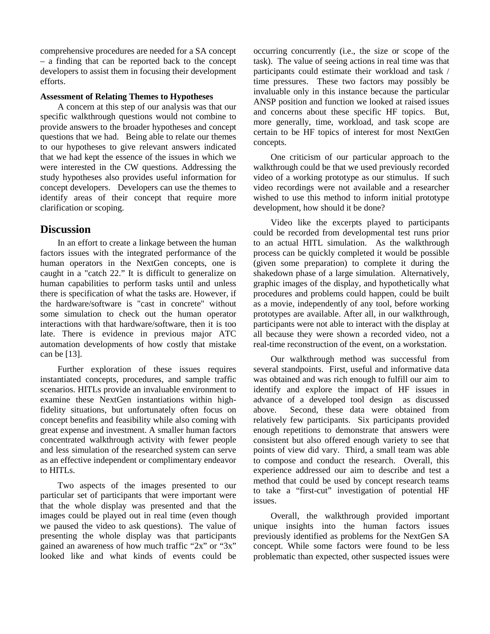comprehensive procedures are needed for a SA concept – a finding that can be reported back to the concept developers to assist them in focusing their development efforts.

### **Assessment of Relating Themes to Hypotheses**

A concern at this step of our analysis was that our specific walkthrough questions would not combine to provide answers to the broader hypotheses and concept questions that we had. Being able to relate our themes to our hypotheses to give relevant answers indicated that we had kept the essence of the issues in which we were interested in the CW questions. Addressing the study hypotheses also provides useful information for concept developers. Developers can use the themes to identify areas of their concept that require more clarification or scoping.

## **Discussion**

In an effort to create a linkage between the human factors issues with the integrated performance of the human operators in the NextGen concepts, one is caught in a "catch 22." It is difficult to generalize on human capabilities to perform tasks until and unless there is specification of what the tasks are. However, if the hardware/software is "cast in concrete" without some simulation to check out the human operator interactions with that hardware/software, then it is too late. There is evidence in previous major ATC automation developments of how costly that mistake can be [13].

Further exploration of these issues requires instantiated concepts, procedures, and sample traffic scenarios. HITLs provide an invaluable environment to examine these NextGen instantiations within highfidelity situations, but unfortunately often focus on concept benefits and feasibility while also coming with great expense and investment. A smaller human factors concentrated walkthrough activity with fewer people and less simulation of the researched system can serve as an effective independent or complimentary endeavor to HITLs.

Two aspects of the images presented to our particular set of participants that were important were that the whole display was presented and that the images could be played out in real time (even though we paused the video to ask questions). The value of presenting the whole display was that participants gained an awareness of how much traffic "2x" or "3x" looked like and what kinds of events could be

occurring concurrently (i.e., the size or scope of the task). The value of seeing actions in real time was that participants could estimate their workload and task / time pressures. These two factors may possibly be invaluable only in this instance because the particular ANSP position and function we looked at raised issues and concerns about these specific HF topics. But, more generally, time, workload, and task scope are certain to be HF topics of interest for most NextGen concepts.

One criticism of our particular approach to the walkthrough could be that we used previously recorded video of a working prototype as our stimulus. If such video recordings were not available and a researcher wished to use this method to inform initial prototype development, how should it be done?

Video like the excerpts played to participants could be recorded from developmental test runs prior to an actual HITL simulation. As the walkthrough process can be quickly completed it would be possible (given some preparation) to complete it during the shakedown phase of a large simulation. Alternatively, graphic images of the display, and hypothetically what procedures and problems could happen, could be built as a movie, independently of any tool, before working prototypes are available. After all, in our walkthrough, participants were not able to interact with the display at all because they were shown a recorded video, not a real-time reconstruction of the event, on a workstation.

Our walkthrough method was successful from several standpoints. First, useful and informative data was obtained and was rich enough to fulfill our aim to identify and explore the impact of HF issues in advance of a developed tool design as discussed above. Second, these data were obtained from relatively few participants. Six participants provided enough repetitions to demonstrate that answers were consistent but also offered enough variety to see that points of view did vary. Third, a small team was able to compose and conduct the research. Overall, this experience addressed our aim to describe and test a method that could be used by concept research teams to take a "first-cut" investigation of potential HF issues.

Overall, the walkthrough provided important unique insights into the human factors issues previously identified as problems for the NextGen SA concept. While some factors were found to be less problematic than expected, other suspected issues were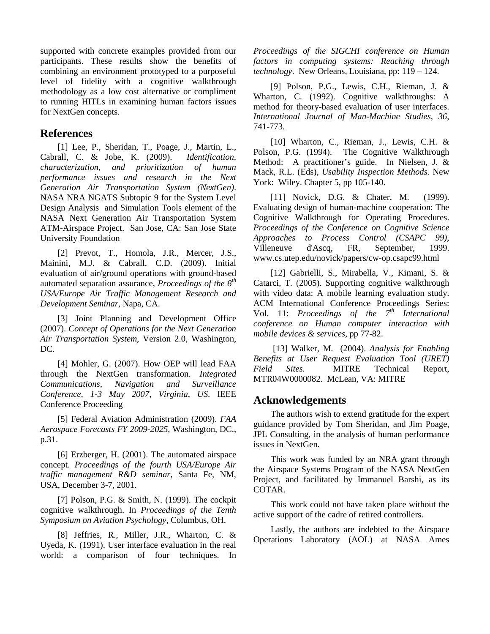supported with concrete examples provided from our participants. These results show the benefits of combining an environment prototyped to a purposeful level of fidelity with a cognitive walkthrough methodology as a low cost alternative or compliment to running HITLs in examining human factors issues for NextGen concepts.

## **References**

[1] Lee, P., Sheridan, T., Poage, J., Martin, L., Cabrall, C. & Jobe, K. (2009). *Identification, characterization, and prioritization of human performance issues and research in the Next Generation Air Transportation System (NextGen)*. NASA NRA NGATS Subtopic 9 for the System Level Design Analysis and Simulation Tools element of the NASA Next Generation Air Transportation System ATM-Airspace Project. San Jose, CA: San Jose State University Foundation

[2] Prevot, T., Homola, J.R., Mercer, J.S., Mainini, M.J. & Cabrall, C.D. (2009). Initial evaluation of air/ground operations with ground-based automated separation assurance, *Proceedings of the 8th USA/Europe Air Traffic Management Research and Development Seminar*, Napa, CA.

[3] Joint Planning and Development Office (2007). *Concept of Operations for the Next Generation Air Transportation System,* Version 2.0, Washington, DC.

[4] Mohler, G. (2007). How OEP will lead FAA through the NextGen transformation. *Integrated Communications, Navigation and Surveillance Conference, 1-3 May 2007, Virginia, US*. IEEE Conference Proceeding

[5] Federal Aviation Administration (2009). *FAA Aerospace Forecasts FY 2009-2025*, Washington, DC., p.31.

[6] Erzberger, H. (2001). The automated airspace concept. *Proceedings of the fourth USA/Europe Air traffic management R&D seminar*, Santa Fe, NM, USA, December 3-7, 2001.

[7] Polson, P.G. & Smith, N. (1999). The cockpit cognitive walkthrough. In *Proceedings of the Tenth Symposium on Aviation Psychology*, Columbus, OH.

[8] Jeffries, R., Miller, J.R., Wharton, C. & Uyeda, K. (1991). User interface evaluation in the real world: a comparison of four techniques. In *Proceedings of the SIGCHI conference on Human factors in computing systems: Reaching through technology*. New Orleans, Louisiana, pp: 119 – 124.

[9] Polson, P.G., Lewis, C.H., Rieman, J. & Wharton, C. (1992). Cognitive walkthroughs: A method for theory-based evaluation of user interfaces. *International Journal of Man-Machine Studies, 36*, 741-773.

[10] Wharton, C., Rieman, J., Lewis, C.H. & Polson, P.G. (1994). The Cognitive Walkthrough Method: A practitioner's guide. In Nielsen, J. & Mack, R.L. (Eds), *Usability Inspection Methods*. New York: Wiley. Chapter 5, pp 105-140.

[11] Novick, D.G. & Chater, M. (1999). Evaluating design of human-machine cooperation: The Cognitive Walkthrough for Operating Procedures. *Proceedings of the Conference on Cognitive Science Approaches to Process Control (CSAPC 99)*, Villeneuve d'Ascq, FR, September, 1999. www.cs.utep.edu/novick/papers/cw-op.csapc99.html

[12] Gabrielli, S., Mirabella, V., Kimani, S. & Catarci, T. (2005). Supporting cognitive walkthrough with video data: A mobile learning evaluation study. ACM International Conference Proceedings Series: Vol. 11: *Proceedings of the 7th International conference on Human computer interaction with mobile devices & services*, pp 77-82.

[13] Walker, M. (2004). *Analysis for Enabling Benefits at User Request Evaluation Tool (URET) Field Sites.* MITRE Technical Report, MTR04W0000082. McLean, VA: MITRE

## **Acknowledgements**

The authors wish to extend gratitude for the expert guidance provided by Tom Sheridan, and Jim Poage, JPL Consulting, in the analysis of human performance issues in NextGen.

This work was funded by an NRA grant through the Airspace Systems Program of the NASA NextGen Project, and facilitated by Immanuel Barshi, as its COTAR.

This work could not have taken place without the active support of the cadre of retired controllers.

Lastly, the authors are indebted to the Airspace Operations Laboratory (AOL) at NASA Ames